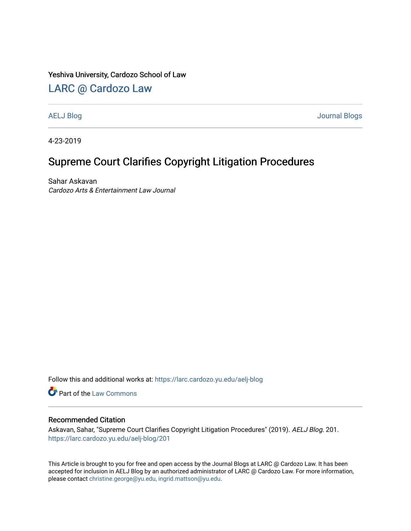### Yeshiva University, Cardozo School of Law

## [LARC @ Cardozo Law](https://larc.cardozo.yu.edu/)

[AELJ Blog](https://larc.cardozo.yu.edu/aelj-blog) [Journal Blogs](https://larc.cardozo.yu.edu/journal-blogs) 

4-23-2019

## Supreme Court Clarifies Copyright Litigation Procedures

Sahar Askavan Cardozo Arts & Entertainment Law Journal

Follow this and additional works at: [https://larc.cardozo.yu.edu/aelj-blog](https://larc.cardozo.yu.edu/aelj-blog?utm_source=larc.cardozo.yu.edu%2Faelj-blog%2F201&utm_medium=PDF&utm_campaign=PDFCoverPages) 

Part of the [Law Commons](http://network.bepress.com/hgg/discipline/578?utm_source=larc.cardozo.yu.edu%2Faelj-blog%2F201&utm_medium=PDF&utm_campaign=PDFCoverPages)

#### Recommended Citation

Askavan, Sahar, "Supreme Court Clarifies Copyright Litigation Procedures" (2019). AELJ Blog. 201. [https://larc.cardozo.yu.edu/aelj-blog/201](https://larc.cardozo.yu.edu/aelj-blog/201?utm_source=larc.cardozo.yu.edu%2Faelj-blog%2F201&utm_medium=PDF&utm_campaign=PDFCoverPages) 

This Article is brought to you for free and open access by the Journal Blogs at LARC @ Cardozo Law. It has been accepted for inclusion in AELJ Blog by an authorized administrator of LARC @ Cardozo Law. For more information, please contact [christine.george@yu.edu, ingrid.mattson@yu.edu.](mailto:christine.george@yu.edu,%20ingrid.mattson@yu.edu)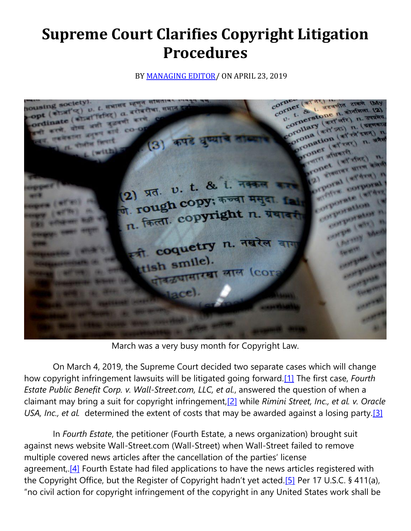# **Supreme Court Clarifies Copyright Litigation Procedures**

BY **MANAGING EDITOR**/ ON APRIL 23, 2019



March was a very busy month for Copyright Law.

 On March 4, 2019, the Supreme Court decided two separate cases which will change how copyright infringement lawsuits will be litigated going forward[.\[1\]](https://cardozoaelj.com/2019/04/23/supreme-court-clarifies-copyright-litigation-procedures/#_ftn1) The first case, *Fourth Estate Public Benefit Corp. v. Wall-Street.com, LLC, et al.*, answered the question of when a claimant may bring a suit for copyright infringement[,\[2\]](https://cardozoaelj.com/2019/04/23/supreme-court-clarifies-copyright-litigation-procedures/#_ftn2) while *Rimini Street, Inc., et al. v. Oracle USA, Inc., et al.* determined the extent of costs that may be awarded against a losing party[.\[3\]](https://cardozoaelj.com/2019/04/23/supreme-court-clarifies-copyright-litigation-procedures/#_ftn3)

 In *Fourth Estate*, the petitioner (Fourth Estate, a news organization) brought suit against news website Wall-Street.com (Wall-Street) when Wall-Street failed to remove multiple covered news articles after the cancellation of the parties' license agreement..<sup>[4]</sup> Fourth Estate had filed applications to have the news articles registered with the Copyright Office, but the Register of Copyright hadn't yet acted.[\[5\]](https://cardozoaelj.com/2019/04/23/supreme-court-clarifies-copyright-litigation-procedures/#_ftn5) Per 17 U.S.C. § 411(a), "no civil action for copyright infringement of the copyright in any United States work shall be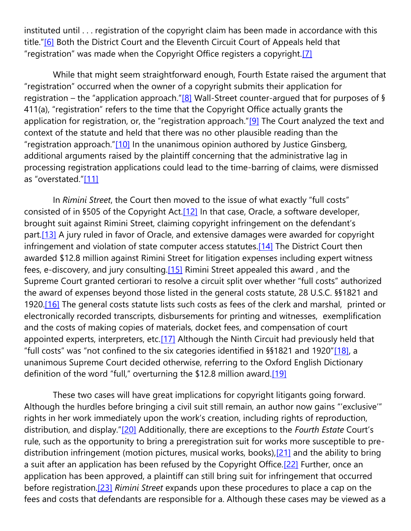instituted until . . . registration of the copyright claim has been made in accordance with this title."[\[6\]](https://cardozoaelj.com/2019/04/23/supreme-court-clarifies-copyright-litigation-procedures/#_ftn6) Both the District Court and the Eleventh Circuit Court of Appeals held that "registration" was made when the Copyright Office registers a copyright.[\[7\]](https://cardozoaelj.com/2019/04/23/supreme-court-clarifies-copyright-litigation-procedures/#_ftn7)

 While that might seem straightforward enough, Fourth Estate raised the argument that "registration" occurred when the owner of a copyright submits their application for registration – the "application approach." $[8]$  Wall-Street counter-argued that for purposes of § 411(a), "registration" refers to the time that the Copyright Office actually grants the application for registration, or, the "registration approach." $[9]$  The Court analyzed the text and context of the statute and held that there was no other plausible reading than the "registration approach."[\[10\]](https://cardozoaelj.com/2019/04/23/supreme-court-clarifies-copyright-litigation-procedures/#_ftn10) In the unanimous opinion authored by Justice Ginsberg, additional arguments raised by the plaintiff concerning that the administrative lag in processing registration applications could lead to the time-barring of claims, were dismissed as "overstated."[\[11\]](https://cardozoaelj.com/2019/04/23/supreme-court-clarifies-copyright-litigation-procedures/#_ftn11)

 In *Rimini Street*, the Court then moved to the issue of what exactly "full costs" consisted of in §505 of the Copyright Act[.\[12\]](https://cardozoaelj.com/2019/04/23/supreme-court-clarifies-copyright-litigation-procedures/#_ftn12) In that case, Oracle, a software developer, brought suit against Rimini Street, claiming copyright infringement on the defendant's part.<sup>[13]</sup> A jury ruled in favor of Oracle, and extensive damages were awarded for copyright infringement and violation of state computer access statutes.<sup>[14]</sup> The District Court then awarded \$12.8 million against Rimini Street for litigation expenses including expert witness fees, e-discovery, and jury consulting[.\[15\]](https://cardozoaelj.com/2019/04/23/supreme-court-clarifies-copyright-litigation-procedures/#_ftn15) Rimini Street appealed this award , and the Supreme Court granted certiorari to resolve a circuit split over whether "full costs" authorized the award of expenses beyond those listed in the general costs statute, 28 U.S.C. §§1821 and 1920.<sup>[16]</sup> The general costs statute lists such costs as fees of the clerk and marshal, printed or electronically recorded transcripts, disbursements for printing and witnesses, exemplification and the costs of making copies of materials, docket fees, and compensation of court appointed experts, interpreters, etc.<sup>[17]</sup> Although the Ninth Circuit had previously held that "full costs" was "not confined to the six categories identified in §§1821 and 1920"[\[18\],](https://cardozoaelj.com/2019/04/23/supreme-court-clarifies-copyright-litigation-procedures/#_ftn18) a unanimous Supreme Court decided otherwise, referring to the Oxford English Dictionary definition of the word "full," overturning the \$12.8 million award.<sup>[\[19\]](https://cardozoaelj.com/2019/04/23/supreme-court-clarifies-copyright-litigation-procedures/#_ftn19)</sup>

 These two cases will have great implications for copyright litigants going forward. Although the hurdles before bringing a civil suit still remain, an author now gains "'exclusive'" rights in her work immediately upon the work's creation, including rights of reproduction, distribution, and display."[\[20\]](https://cardozoaelj.com/2019/04/23/supreme-court-clarifies-copyright-litigation-procedures/#_ftn20) Additionally, there are exceptions to the *Fourth Estate* Court's rule, such as the opportunity to bring a preregistration suit for works more susceptible to predistribution infringement (motion pictures, musical works, books),<sup>[21]</sup> and the ability to bring a suit after an application has been refused by the Copyright Office[.\[22\]](https://cardozoaelj.com/2019/04/23/supreme-court-clarifies-copyright-litigation-procedures/#_ftn22) Further, once an application has been approved, a plaintiff can still bring suit for infringement that occurred before registration[.\[23\]](https://cardozoaelj.com/2019/04/23/supreme-court-clarifies-copyright-litigation-procedures/#_ftn23) *Rimini Street* expands upon these procedures to place a cap on the fees and costs that defendants are responsible for a. Although these cases may be viewed as a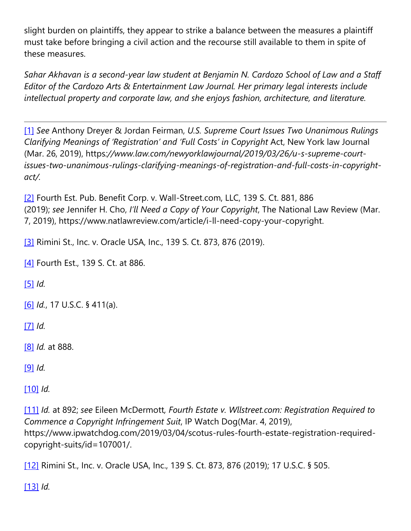slight burden on plaintiffs, they appear to strike a balance between the measures a plaintiff must take before bringing a civil action and the recourse still available to them in spite of these measures.

*Sahar Akhavan is a second-year law student at Benjamin N. Cardozo School of Law and a Staff Editor of the Cardozo Arts & Entertainment Law Journal. Her primary legal interests include intellectual property and corporate law, and she enjoys fashion, architecture, and literature.*

[\[1\]](https://cardozoaelj.com/2019/04/23/supreme-court-clarifies-copyright-litigation-procedures/#_ftnref1) *See* Anthony Dreyer & Jordan Feirman, *U.S. Supreme Court Issues Two Unanimous Rulings Clarifying Meanings of 'Registration' and 'Full Costs' in Copyright* Act, New York law Journal (Mar. 26, 2019), https*://www.law.com/newyorklawjournal/2019/03/26/u-s-supreme-courtissues-two-unanimous-rulings-clarifying-meanings-of-registration-and-full-costs-in-copyrightact/.*

[\[2\]](https://cardozoaelj.com/2019/04/23/supreme-court-clarifies-copyright-litigation-procedures/#_ftnref2) Fourth Est. Pub. Benefit Corp. v. Wall-Street.com, LLC, 139 S. Ct. 881, 886 (2019); *see* Jennifer H. Cho, *I'll Need a Copy of Your Copyright*, The National Law Review (Mar. 7, 2019), https://www.natlawreview.com/article/i-ll-need-copy-your-copyright.

[\[3\]](https://cardozoaelj.com/2019/04/23/supreme-court-clarifies-copyright-litigation-procedures/#_ftnref3) Rimini St., Inc. v. Oracle USA, Inc., 139 S. Ct. 873, 876 (2019).

[\[4\]](https://cardozoaelj.com/2019/04/23/supreme-court-clarifies-copyright-litigation-procedures/#_ftnref4) Fourth Est., 139 S. Ct. at 886.

[\[5\]](https://cardozoaelj.com/2019/04/23/supreme-court-clarifies-copyright-litigation-procedures/#_ftnref5) *Id.*

[\[6\]](https://cardozoaelj.com/2019/04/23/supreme-court-clarifies-copyright-litigation-procedures/#_ftnref6) *Id.*, 17 U.S.C. § 411(a).

[\[7\]](https://cardozoaelj.com/2019/04/23/supreme-court-clarifies-copyright-litigation-procedures/#_ftnref7) *Id.*

[\[8\]](https://cardozoaelj.com/2019/04/23/supreme-court-clarifies-copyright-litigation-procedures/#_ftnref8) *Id.* at 888.

[\[9\]](https://cardozoaelj.com/2019/04/23/supreme-court-clarifies-copyright-litigation-procedures/#_ftnref9) *Id.*

[\[10\]](https://cardozoaelj.com/2019/04/23/supreme-court-clarifies-copyright-litigation-procedures/#_ftnref10) *Id.*

[\[11\]](https://cardozoaelj.com/2019/04/23/supreme-court-clarifies-copyright-litigation-procedures/#_ftnref11) *Id.* at 892; *see* Eileen McDermott*, Fourth Estate v. Wllstreet.com: Registration Required to Commence a Copyright Infringement Suit*, IP Watch Dog(Mar. 4, 2019), https://www.ipwatchdog.com/2019/03/04/scotus-rules-fourth-estate-registration-requiredcopyright-suits/id=107001/.

[\[12\]](https://cardozoaelj.com/2019/04/23/supreme-court-clarifies-copyright-litigation-procedures/#_ftnref12) Rimini St., Inc. v. Oracle USA, Inc., 139 S. Ct. 873, 876 (2019); 17 U.S.C. § 505.

[\[13\]](https://cardozoaelj.com/2019/04/23/supreme-court-clarifies-copyright-litigation-procedures/#_ftnref13) *Id.*